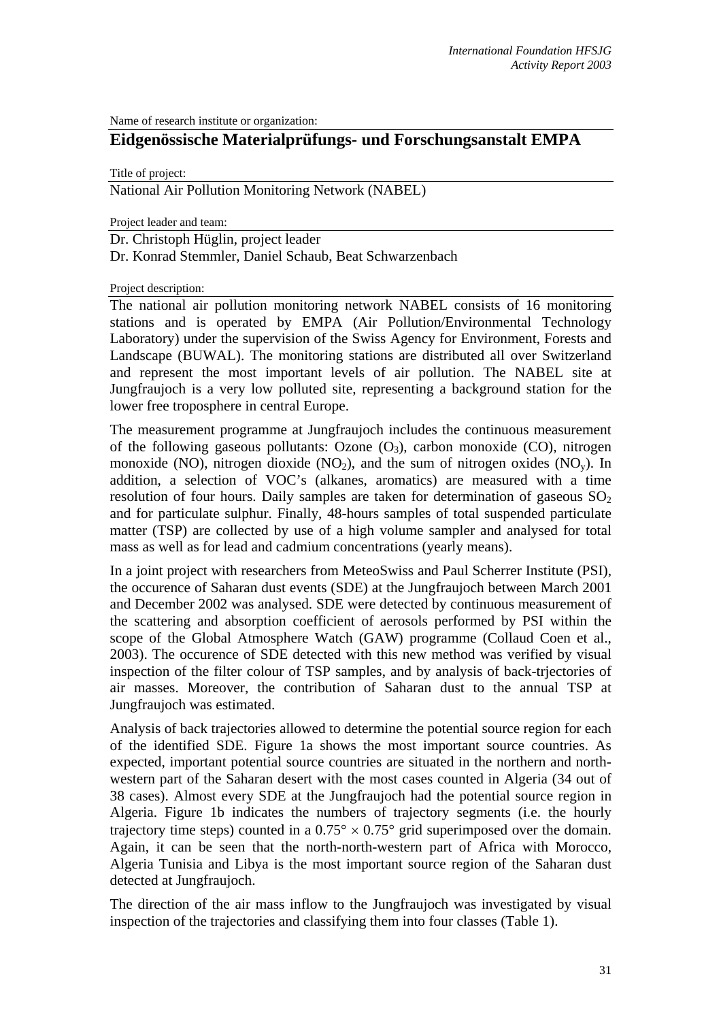Name of research institute or organization:

## **Eidgenössische Materialprüfungs- und Forschungsanstalt EMPA**

Title of project:

National Air Pollution Monitoring Network (NABEL)

Project leader and team:

Dr. Christoph Hüglin, project leader

Dr. Konrad Stemmler, Daniel Schaub, Beat Schwarzenbach

Project description:

The national air pollution monitoring network NABEL consists of 16 monitoring stations and is operated by EMPA (Air Pollution/Environmental Technology Laboratory) under the supervision of the Swiss Agency for Environment, Forests and Landscape (BUWAL). The monitoring stations are distributed all over Switzerland and represent the most important levels of air pollution. The NABEL site at Jungfraujoch is a very low polluted site, representing a background station for the lower free troposphere in central Europe.

The measurement programme at Jungfraujoch includes the continuous measurement of the following gaseous pollutants: Ozone  $(O_3)$ , carbon monoxide  $(CO)$ , nitrogen monoxide (NO), nitrogen dioxide (NO<sub>2</sub>), and the sum of nitrogen oxides (NO<sub>v</sub>). In addition, a selection of VOC's (alkanes, aromatics) are measured with a time resolution of four hours. Daily samples are taken for determination of gaseous  $SO_2$ and for particulate sulphur. Finally, 48-hours samples of total suspended particulate matter (TSP) are collected by use of a high volume sampler and analysed for total mass as well as for lead and cadmium concentrations (yearly means).

In a joint project with researchers from MeteoSwiss and Paul Scherrer Institute (PSI), the occurence of Saharan dust events (SDE) at the Jungfraujoch between March 2001 and December 2002 was analysed. SDE were detected by continuous measurement of the scattering and absorption coefficient of aerosols performed by PSI within the scope of the Global Atmosphere Watch (GAW) programme (Collaud Coen et al., 2003). The occurence of SDE detected with this new method was verified by visual inspection of the filter colour of TSP samples, and by analysis of back-trjectories of air masses. Moreover, the contribution of Saharan dust to the annual TSP at Jungfraujoch was estimated.

Analysis of back trajectories allowed to determine the potential source region for each of the identified SDE. Figure 1a shows the most important source countries. As expected, important potential source countries are situated in the northern and northwestern part of the Saharan desert with the most cases counted in Algeria (34 out of 38 cases). Almost every SDE at the Jungfraujoch had the potential source region in Algeria. Figure 1b indicates the numbers of trajectory segments (i.e. the hourly trajectory time steps) counted in a  $0.75^{\circ} \times 0.75^{\circ}$  grid superimposed over the domain. Again, it can be seen that the north-north-western part of Africa with Morocco, Algeria Tunisia and Libya is the most important source region of the Saharan dust detected at Jungfraujoch.

The direction of the air mass inflow to the Jungfraujoch was investigated by visual inspection of the trajectories and classifying them into four classes (Table 1).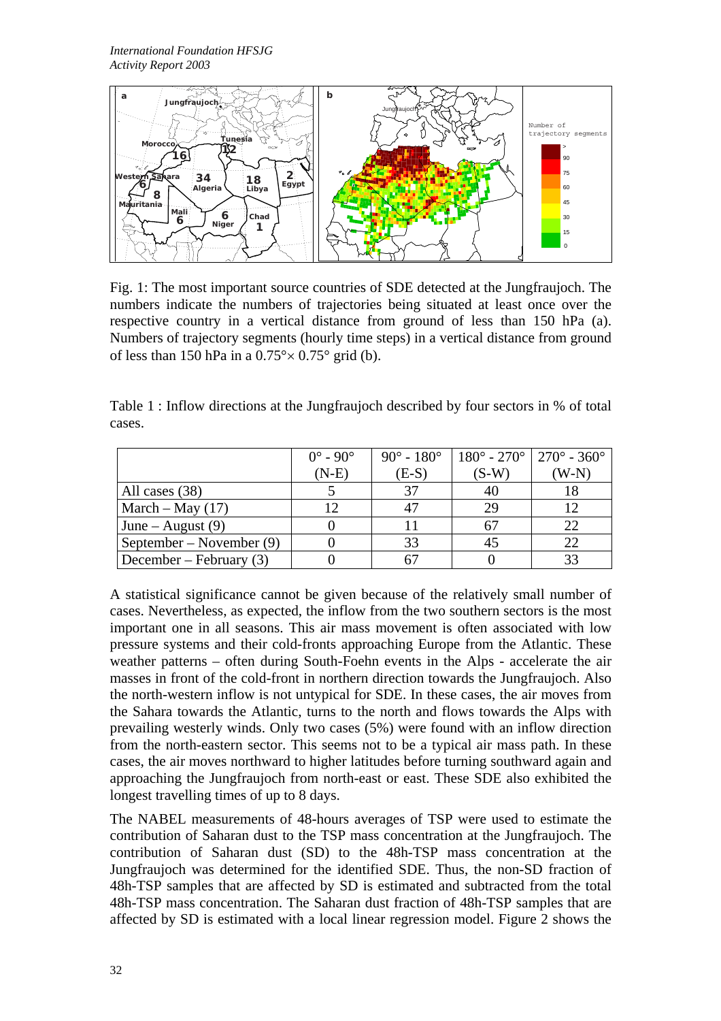

Fig. 1: The most important source countries of SDE detected at the Jungfraujoch. The numbers indicate the numbers of trajectories being situated at least once over the respective country in a vertical distance from ground of less than 150 hPa (a). Numbers of trajectory segments (hourly time steps) in a vertical distance from ground of less than 150 hPa in a  $0.75^{\circ} \times 0.75^{\circ}$  grid (b).

Table 1 : Inflow directions at the Jungfraujoch described by four sectors in % of total cases.

|                           | $0^\circ$ - $90^\circ$ | $90^{\circ} - 180^{\circ}$ | $180^{\circ}$ - 270° $1270^{\circ}$ - 360° |      |
|---------------------------|------------------------|----------------------------|--------------------------------------------|------|
|                           | $(N-E)$                | $(E-S)$                    | $(S-W)$                                    | W-N) |
| All cases (38)            |                        |                            | 40                                         |      |
| March – May $(17)$        |                        | 47                         | 29                                         |      |
| June – August $(9)$       |                        |                            |                                            | 22   |
| September – November (9)  |                        | 33                         | 45                                         |      |
| December – February $(3)$ |                        |                            |                                            | 33   |

A statistical significance cannot be given because of the relatively small number of cases. Nevertheless, as expected, the inflow from the two southern sectors is the most important one in all seasons. This air mass movement is often associated with low pressure systems and their cold-fronts approaching Europe from the Atlantic. These weather patterns – often during South-Foehn events in the Alps - accelerate the air masses in front of the cold-front in northern direction towards the Jungfraujoch. Also the north-western inflow is not untypical for SDE. In these cases, the air moves from the Sahara towards the Atlantic, turns to the north and flows towards the Alps with prevailing westerly winds. Only two cases (5%) were found with an inflow direction from the north-eastern sector. This seems not to be a typical air mass path. In these cases, the air moves northward to higher latitudes before turning southward again and approaching the Jungfraujoch from north-east or east. These SDE also exhibited the longest travelling times of up to 8 days.

The NABEL measurements of 48-hours averages of TSP were used to estimate the contribution of Saharan dust to the TSP mass concentration at the Jungfraujoch. The contribution of Saharan dust (SD) to the 48h-TSP mass concentration at the Jungfraujoch was determined for the identified SDE. Thus, the non-SD fraction of 48h-TSP samples that are affected by SD is estimated and subtracted from the total 48h-TSP mass concentration. The Saharan dust fraction of 48h-TSP samples that are affected by SD is estimated with a local linear regression model. Figure 2 shows the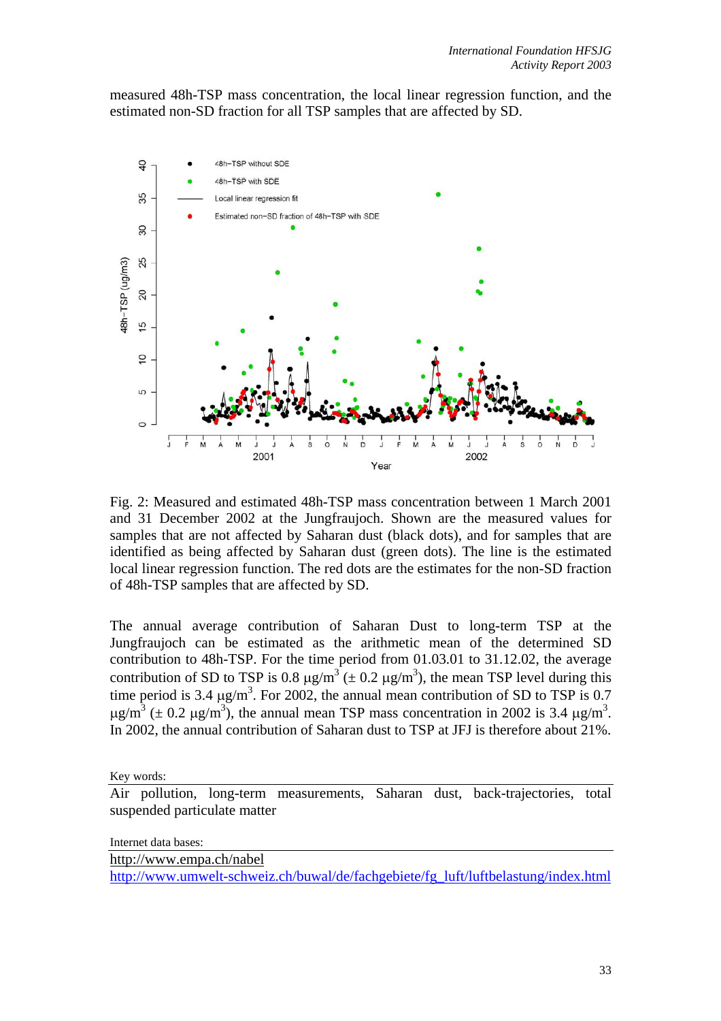measured 48h-TSP mass concentration, the local linear regression function, and the estimated non-SD fraction for all TSP samples that are affected by SD.



Fig. 2: Measured and estimated 48h-TSP mass concentration between 1 March 2001 and 31 December 2002 at the Jungfraujoch. Shown are the measured values for samples that are not affected by Saharan dust (black dots), and for samples that are identified as being affected by Saharan dust (green dots). The line is the estimated local linear regression function. The red dots are the estimates for the non-SD fraction of 48h-TSP samples that are affected by SD.

The annual average contribution of Saharan Dust to long-term TSP at the Jungfraujoch can be estimated as the arithmetic mean of the determined SD contribution to 48h-TSP. For the time period from 01.03.01 to 31.12.02, the average contribution of SD to TSP is 0.8  $\mu$ g/m<sup>3</sup> ( $\pm$  0.2  $\mu$ g/m<sup>3</sup>), the mean TSP level during this time period is 3.4  $\mu$ g/m<sup>3</sup>. For 2002, the annual mean contribution of SD to TSP is 0.7  $\mu$ g/m<sup>3</sup> ( $\pm$  0.2  $\mu$ g/m<sup>3</sup>), the annual mean TSP mass concentration in 2002 is 3.4  $\mu$ g/m<sup>3</sup>. In 2002, the annual contribution of Saharan dust to TSP at JFJ is therefore about 21%.

Key words:

Air pollution, long-term measurements, Saharan dust, back-trajectories, total suspended particulate matter

Internet data bases:

[http://www.empa.ch/nabel](http://kspc4.unibe.ch/nm/index1.html)

[http://www.umwelt-schweiz.ch/buwal/de/fachgebiete/fg\\_luft/luftbelastung/index.html](http://www.umwelt-schweiz.ch/buwal/de/fachgebiete/fg_luft/luftbelastung/index.html)